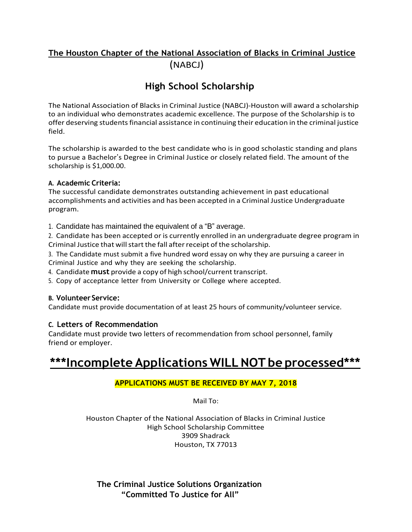### **The Houston Chapter of the National Association of Blacks in Criminal Justice** (NABCJ)

### **High School Scholarship**

The National Association of Blacks in Criminal Justice (NABCJ)-Houston will award a scholarship to an individual who demonstrates academic excellence. The purpose of the Scholarship is to offer deserving students financial assistance in continuing their education in the criminal justice field.

The scholarship is awarded to the best candidate who is in good scholastic standing and plans to pursue a Bachelor's Degree in Criminal Justice or closely related field. The amount of the scholarship is \$1,000.00.

#### **A. Academic Criteria:**

The successful candidate demonstrates outstanding achievement in past educational accomplishments and activities and has been accepted in a Criminal Justice Undergraduate program.

1. Candidate has maintained the equivalent of a "B" average.

2. Candidate has been accepted or is currently enrolled in an undergraduate degree program in Criminal Justice that will start the fall after receipt of the scholarship.

3. The Candidate must submit a five hundred word essay on why they are pursuing a career in Criminal Justice and why they are seeking the scholarship.

4. Candidate **must** provide a copy of high school/current transcript.

5. Copy of acceptance letter from University or College where accepted.

#### **B. Volunteer Service:**

Candidate must provide documentation of at least 25 hours of community/volunteer service.

#### **C. Letters of Recommendation**

Candidate must provide two letters of recommendation from school personnel, family friend or employer.

# **\*\*\*Incomplete Applications WILL NOT be processed\*\*\***

#### **APPLICATIONS MUST BE RECEIVED BY MAY 7, 2018**

Mail To:

Houston Chapter of the National Association of Blacks in Criminal Justice High School Scholarship Committee 3909 Shadrack Houston, TX 77013

**The Criminal Justice Solutions Organization "Committed To Justice for All"**